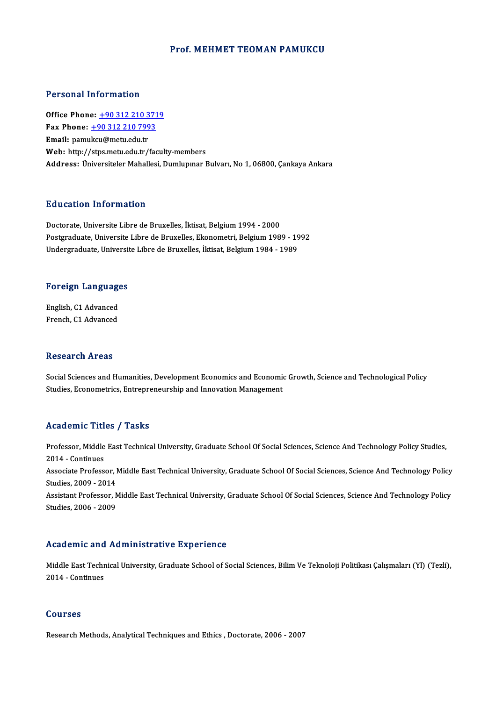## Prof. MEHMET TEOMAN PAMUKCU

## Personal Information

**Personal Information<br>Office Phone: +90 312 210 3719<br>Fax Phone: +90 312 210 7992** Fax Phone: <u>+90 312 210 371</u><br>Fax Phone: <u>+90 312 210 7993</u><br>Fmail: namukay@matu.edu.tr Office Phone: <u>+90 312 210 3</u><br>Fax Phone: <u>+90 312 210 799</u><br>Email: pamu[kcu@metu.edu.tr](tel:+90 312 210 7993) Fax Phone:  $+90\,312\,210\,7993$ <br>Email: pamukcu@metu.edu.tr<br>Web: http://stps.metu.edu.tr/faculty-members Address: Üniversiteler Mahallesi, Dumlupınar Bulvarı, No 1,06800, Çankaya Ankara

## Education Information

Doctorate, Universite Libre de Bruxelles, İktisat, Belgium 1994 - 2000 Postgraduate, Universite Libre de Bruxelles, Ekonometri, Belgium 1989 - 1992 Undergraduate, Universite Libre de Bruxelles, İktisat, Belgium 1984 - 1989

# <sub>ondergraduate, oniversit<br>Foreign Languages</sub>

**Foreign Language<br>English, C1 Advanced<br>Enangh C1 Advanced** English, C1 Advanced<br>French, C1 Advanced

## Research Areas

Research Areas<br>Social Sciences and Humanities, Development Economics and Economic Growth, Science and Technological Policy<br>Studies, Econometrics, Entrennenourchip and Innovation Management Stodies, Entry Cao<br>Social Sciences and Humanities, Development Economics and Economic<br>Studies, Econometrics, Entrepreneurship and Innovation Management Studies, Econometrics, Entrepreneurship and Innovation Management<br>Academic Titles / Tasks

Academic Titles / Tasks<br>Professor, Middle East Technical University, Graduate School Of Social Sciences, Science And Technology Policy Studies,<br>2014 - Continues Professor, Middle<br>2014 - Continues<br>Associate Profess Professor, Middle East Technical University, Graduate School Of Social Sciences, Science And Technology Policy Studies,<br>2014 - Continues<br>Associate Professor, Middle East Technical University, Graduate School Of Social Scie 2014 - Continues<br>Associate Professor, Middle East Technical University, Graduate School Of Social Sciences, Science And Technology Policy<br>Studies, 2009 - 2014 Associate Professor, Middle East Technical University, Graduate School Of Social Sciences, Science And Technology Policy<br>Studies, 2009 - 2014<br>Assistant Professor, Middle East Technical University, Graduate School Of Social Studies, 2009 - 2014<br>Assistant Professor, N<br>Studies, 2006 - 2009 Studies, 2006 - 2009<br>Academic and Administrative Experience

Academic and Administrative Experience<br>Middle East Technical University, Graduate School of Social Sciences, Bilim Ve Teknoloji Politikası Çalışmaları (Yl) (Tezli),<br>2014 - Continues Middle East Techn<br>2014 - Continues 2014 - Continues<br>Courses

Research Methods, Analytical Techniques and Ethics , Doctorate, 2006 - 2007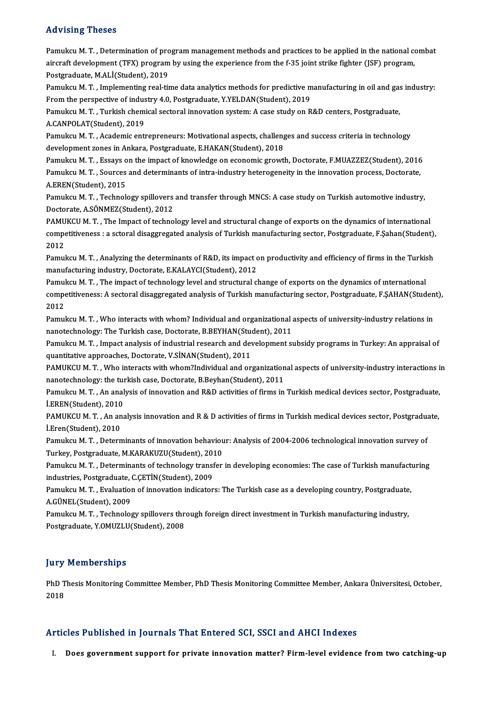## Advising Theses

Pamukcu M.T., Determination of program management methods and practices to be applied in the national combat red vioring Tricoces<br>Pamukcu M. T. , Determination of program management methods and practices to be applied in the national co<br>aircraft development (TFX) program by using the experience from the f-35 joint strike fighter Pamukcu M. T. , Determination of pro<br>aircraft development (TFX) program<br>Postgraduate, M.ALİ(Student), 2019<br>Pamuksu M. T. - Implementing real tit aircraft development (TFX) program by using the experience from the f-35 joint strike fighter (JSF) program,<br>Postgraduate, M.ALİ(Student), 2019<br>Pamukcu M. T. , Implementing real-time data analytics methods for predictive m

Postgraduate, M.ALİ(Student), 2019<br>Pamukcu M. T. , Implementing real-time data analytics methods for predictive m<br>From the perspective of industry 4.0, Postgraduate, Y.YELDAN(Student), 2019<br>Pamuksu M. T. Turkish shamisal s Pamukcu M. T. , Implementing real-time data analytics methods for predictive manufacturing in oil and gas<br>From the perspective of industry 4.0, Postgraduate, Y.YELDAN(Student), 2019<br>Pamukcu M. T. , Turkish chemical sectora

From the perspective of industry 4.0, Postgraduate, Y.YELDAN(Student), 2019<br>Pamukcu M. T. , Turkish chemical sectoral innovation system: A case study on R&D centers, Postgraduate,<br>A.CANPOLAT(Student), 2019 Pamukcu M. T. , Turkish chemical sectoral innovation system: A case study on R&D centers, Postgraduate,<br>A.CANPOLAT(Student), 2019<br>Pamukcu M. T. , Academic entrepreneurs: Motivational aspects, challenges and success criteri

A.CANPOLAT(Student), 2019<br>Pamukcu M. T. , Academic entrepreneurs: Motivational aspects, challeng<br>development zones in Ankara, Postgraduate, E.HAKAN(Student), 2018<br>Pamukau M. T., Essaus on the impact of Imawledge on essapem Pamukcu M. T. , Academic entrepreneurs: Motivational aspects, challenges and success criteria in technology<br>development zones in Ankara, Postgraduate, E.HAKAN(Student), 2018<br>Pamukcu M. T. , Essays on the impact of knowledg

development zones in Ankara, Postgraduate, E.HAKAN(Student), 2018<br>Pamukcu M. T. , Essays on the impact of knowledge on economic growth, Doctorate, F.MUAZZEZ(Student), 2016<br>Pamukcu M. T. , Sources and determinants of intra-Pamukcu M. T. , Essays o<br>Pamukcu M. T. , Sources<br>A.EREN(Student), 2015<br>Pamukau M. T. , Technol

Pamukcu M. T. , Sources and determinants of intra-industry heterogeneity in the innovation process, Doctorate,<br>A.EREN(Student), 2015<br>Pamukcu M. T. , Technology spillovers and transfer through MNCS: A case study on Turkish A.EREN(Student), 2015<br>Pamukcu M. T. , Technology spillovers<br>Doctorate, A.SÖNMEZ(Student), 2012<br>PAMUKCU M. T. . The Impest of techno Pamukcu M. T. , Technology spillovers and transfer through MNCS: A case study on Turkish automotive industry,<br>Doctorate, A.SÖNMEZ(Student), 2012<br>PAMUKCU M. T. , The Impact of technology level and structural change of expor

Doctorate, A.SÖNMEZ(Student), 2012<br>PAMUKCU M. T. , The Impact of technology level and structural change of exports on the dynamics of international<br>competitiveness : a sctoral disaggregated analysis of Turkish manufacturin PAMU<br>compe<br>2012<br>Pamul competitiveness : a sctoral disaggregated analysis of Turkish manufacturing sector, Postgraduate, F.Șahan(Student),<br>2012<br>Pamukcu M. T. , Analyzing the determinants of R&D, its impact on productivity and efficiency of firms

2012<br>Pamukcu M. T. , Analyzing the determinants of R&D, its impact c<br>manufacturing industry, Doctorate, E.KALAYCI(Student), 2012<br>Pamuksu M. T., The impact of technology level and strugtural cl Pamukcu M. T. , Analyzing the determinants of R&D, its impact on productivity and efficiency of firms in the Turkis<br>manufacturing industry, Doctorate, E.KALAYCI(Student), 2012<br>Pamukcu M. T. , The impact of technology level

manufacturing industry, Doctorate, E.KALAYCI(Student), 2012<br>Pamukcu M. T. , The impact of technology level and structural change of exports on the dynamics of international<br>competitiveness: A sectoral disaggregated analysi Pamul<br>compe<br>2012<br>Pamul competitiveness: A sectoral disaggregated analysis of Turkish manufacturing sector, Postgraduate, F.ŞAHAN(Studen<br>2012<br>Pamukcu M. T. , Who interacts with whom? Individual and organizational aspects of university-industry re

2012<br>Pamukcu M. T. , Who interacts with whom? Individual and organizational :<br>nanotechnology: The Turkish case, Doctorate, B.BEYHAN(Student), 2011<br>Pamuksu M. T., Impest analysis of industrial researsh and development sy

Pamukcu M. T. , Who interacts with whom? Individual and organizational aspects of university-industry relations in<br>nanotechnology: The Turkish case, Doctorate, B.BEYHAN(Student), 2011<br>Pamukcu M. T. , Impact analysis of ind nanotechnology: The Turkish case, Doctorate, B.BEYHAN(Student)<br>Pamukcu M. T. , Impact analysis of industrial research and dev<br>quantitative approaches, Doctorate, V.SİNAN(Student), 2011<br>RAMUKCU M. T., Who interects with who Pamukcu M. T. , Impact analysis of industrial research and development subsidy programs in Turkey: An appraisal of<br>quantitative approaches, Doctorate, V.SİNAN(Student), 2011<br>PAMUKCU M. T. , Who interacts with whom?Individu

quantitative approaches, Doctorate, V.SİNAN(Student), 2011<br>PAMUKCU M. T. , Who interacts with whom?Individual and organization<br>nanotechnology: the turkish case, Doctorate, B.Beyhan(Student), 2011<br>Pamukau M. T. . An analysi PAMUKCU M. T. , Who interacts with whom?Individual and organizational aspects of university-industry interactions i<br>nanotechnology: the turkish case, Doctorate, B.Beyhan(Student), 2011<br>Pamukcu M. T. , An analysis of innova

nanotechnology: the turkish case, Doctorate, B.Beyhan(Student), 2011<br>Pamukcu M. T. , An analysis of innovation and R&D activities of firms in Turkish medical devices sector, Postgraduate,<br>İ.EREN(Student), 2010 Pamukcu M. T. , An analysis of innovation and R&D activities of firms in Turkish medical devices sector, Postgraduate,<br>İ.EREN(Student), 2010<br>PAMUKCU M. T. , An analysis innovation and R & D activities of firms in Turkish m

İ.EREN(Student), 2010<br>PAMUKCU M. T. , An an<br>İ.Eren(Student), 2010<br>Pamukau M. T. , Patann PAMUKCU M. T. , An analysis innovation and R & D activities of firms in Turkish medical devices sector, Postgradua<br>İ.Eren(Student), 2010<br>Pamukcu M. T. , Determinants of innovation behaviour: Analysis of 2004-2006 technolog

İ.Eren(Student), 2010<br>Pamukcu M. T. , Determinants of innovation behaviou<br>Turkey, Postgraduate, M.KARAKUZU(Student), 2010<br>Pamuksu M. T., Determinants of technology transfor Pamukcu M. T. , Determinants of innovation behaviour: Analysis of 2004-2006 technological innovation survey of<br>Turkey, Postgraduate, M.KARAKUZU(Student), 2010<br>Pamukcu M. T. , Determinants of technology transfer in developi

Turkey, Postgraduate, M.KARAKUZU(Student), 201<br>Pamukcu M. T. , Determinants of technology transf<br>industries, Postgraduate, C.ÇETİN(Student), 2009<br>Pamuksu M. T., Evaluation of innovation indicator Pamukcu M. T. , Determinants of technology transfer in developing economies: The case of Turkish manufacturing<br>industries, Postgraduate, C.ÇETİN(Student), 2009<br>Pamukcu M. T. , Evaluation of innovation indicators: The Turki

industries, Postgraduate, O<br>Pamukcu M. T. , Evaluation<br>A.GÜNEL(Student), 2009<br>Pamuksu M. T. - Technolos Pamukcu M. T. , Evaluation of innovation indicators: The Turkish case as a developing country, Postgraduate<br>A.GÜNEL(Student), 2009<br>Pamukcu M. T. , Technology spillovers through foreign direct investment in Turkish manufact

A.GÜNEL(Student), 2009<br>Pamukcu M. T. , Technology spillovers thr<br>Postgraduate, Y.OMUZLU(Student), 2008 Postgraduate, Y.OMUZLU(Student), 2008<br>Jury Memberships

Jury Memberships<br>PhD Thesis Monitoring Committee Member, PhD Thesis Monitoring Committee Member, Ankara Üniversitesi, October,<br>2018 1<br>PhD T<br>2018

# Articles Published in Journals That Entered SCI, SSCI and AHCI Indexes

I. Does government support for private innovation matter? Firm-level evidence from two catching-up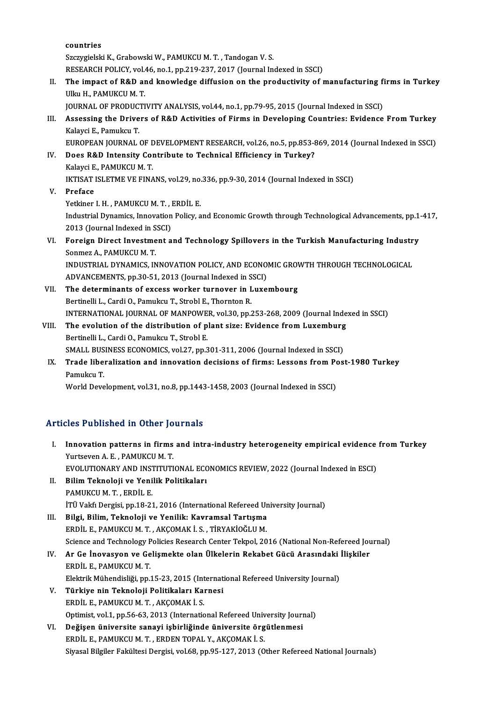countries Szczygielski K., Grabowski W., PAMUKCU M. T., Tandogan V. S. RESEARCH POLICY, vol.46, no.1, pp.219-237, 2017 (Journal Indexed in SSCI) Szczygielski K., Grabowski W., PAMUKCU M. T. , Tandogan V. S.<br>RESEARCH POLICY, vol.46, no.1, pp.219-237, 2017 (Journal Indexed in SSCI)<br>II. The impact of R&D and knowledge diffusion on the productivity of manufacturing fir RESEARCH POLICY, vol.<br>The impact of R&D are<br>Ulku H., PAMUKCU M. T.<br>JOUPNAL OF PPODUCTI The impact of R&D and knowledge diffusion on the productivity of manufacturing fi<br>Ulku H., PAMUKCU M. T.<br>JOURNAL OF PRODUCTIVITY ANALYSIS, vol.44, no.1, pp.79-95, 2015 (Journal Indexed in SSCI)<br>Assossing the Drivers of R&D Ulku H., PAMUKCU M. T.<br>JOURNAL OF PRODUCTIVITY ANALYSIS, vol.44, no.1, pp.79-95, 2015 (Journal Indexed in SSCI)<br>III. Assessing the Drivers of R&D Activities of Firms in Developing Countries: Evidence From Turkey<br>Kelaysi E. **JOURNAL OF PRODUC<br>Assessing the Drive<br>Kalayci E., Pamukcu T.<br>EUROPEAN JOURNAL** Assessing the Drivers of R&D Activities of Firms in Developing Countries: Evidence From Turkey<br>Kalayci E., Pamukcu T.<br>EUROPEAN JOURNAL OF DEVELOPMENT RESEARCH, vol.26, no.5, pp.853-869, 2014 (Journal Indexed in SSCI)<br>Does Kalayci E., Pamukcu T.<br>EUROPEAN JOURNAL OF DEVELOPMENT RESEARCH, vol.26, no.5, pp.853-8<br>IV. Does R&D Intensity Contribute to Technical Efficiency in Turkey?<br>Kelaysi E. BAMIKCU M.T. EUROPEAN JOURNAL OF <mark>L<br>Does R&D Intensity Co</mark><br>Kalayci E., PAMUKCU M. T.<br>IKTISAT ISI FTME VE FINA Kalayci E., PAMUKCU M. T.<br>IKTISAT ISLETME VE FINANS, vol.29, no.336, pp.9-30, 2014 (Journal Indexed in SSCI) V. Preface IKTISAT ISLETME VE FINANS, vol.29, no.<br>Preface<br>Yetkiner I. H. , PAMUKCU M. T. , ERDİL E.<br>Industrial Dynamiss, Innovation Bolisy, a Industrial Dynamics, Innovation Policy, and Economic Growth through Technological Advancements, pp.1-417, 2013 (Journal Indexed in SSCI) Yetkiner I. H. , PAMUKCU M. T. , l<br>Industrial Dynamics, Innovation<br>2013 (Journal Indexed in SSCI)<br>Fonsign Dinest Investment e Industrial Dynamics, Innovation Policy, and Economic Growth through Technological Advancements, pp.1-<br>2013 (Journal Indexed in SSCI)<br>VI. Foreign Direct Investment and Technology Spillovers in the Turkish Manufacturing Indu 2013 (Journal Indexed in S<br>Foreign Direct Investme<br>Sonmez A., PAMUKCU M. T.<br>INDUSTRIAL DYNAMICS IN Foreign Direct Investment and Technology Spillovers in the Turkish Manufacturing Industr<br>Sonmez A., PAMUKCU M. T.<br>INDUSTRIAL DYNAMICS, INNOVATION POLICY, AND ECONOMIC GROWTH THROUGH TECHNOLOGICAL<br>ADVANCEMENTS, np.20.51, 20 Sonmez A., PAMUKCU M. T.<br>INDUSTRIAL DYNAMICS, INNOVATION POLICY, AND ECONO!<br>ADVANCEMENTS, pp.30-51, 2013 (Journal Indexed in SSCI)<br>The determinents of excess worker typrover in Luxe INDUSTRIAL DYNAMICS, INNOVATION POLICY, AND ECONOMIC GROWTH THROUGH TECHNOLOGICAL<br>ADVANCEMENTS, pp.30-51, 2013 (Journal Indexed in SSCI)<br>VII. The determinants of excess worker turnover in Luxembourg<br>Bertinelli L., Cardi O. ADVANCEMENTS, pp.30-51, 2013 (Journal Indexed in S<br>The determinants of excess worker turnover in L<br>Bertinelli L., Cardi O., Pamukcu T., Strobl E., Thornton R.<br>INTERNATIONAL JOURNAL OF MANROWER vol 30 nn 2 The determinants of excess worker turnover in Luxembourg<br>Bertinelli L., Cardi O., Pamukcu T., Strobl E., Thornton R.<br>INTERNATIONAL JOURNAL OF MANPOWER, vol.30, pp.253-268, 2009 (Journal Indexed in SSCI)<br>The evolution of th Bertinelli L., Cardi O., Pamukcu T., Strobl E., Thornton R.<br>INTERNATIONAL JOURNAL OF MANPOWER, vol.30, pp.253-268, 2009 (Journal Inde<br>VIII. The evolution of the distribution of plant size: Evidence from Luxemburg<br>Partinell INTERNATIONAL JOURNAL OF MANPOWE<br>The evolution of the distribution of p<br>Bertinelli L., Cardi O., Pamukcu T., Strobl E.<br>SMALL BUSINESS ECONOMICS vol.27, nn.2 The evolution of the distribution of plant size: Evidence from Luxemburg Bertinelli L., Cardi O., Pamukcu T., Strobl E. IX. Trade liberalization and innovation decisions of firms: Lessons from Post-1980 Turkey<br>Pamukcu T. SMALL BUSINESS ECONOMICS, vol.27, pp.301-311, 2006 (Journal Indexed in SSCI) World Development, vol.31, no.8, pp.1443-1458, 2003 (Journal Indexed in SSCI)

# Articles Published in Other Journals

| <b>Articles Published in Other Journals</b> |                                                                                                |
|---------------------------------------------|------------------------------------------------------------------------------------------------|
| I.                                          | Innovation patterns in firms and intra-industry heterogeneity empirical evidence from Turkey   |
|                                             | Yurtseven A. E., PAMUKCU M. T.                                                                 |
|                                             | EVOLUTIONARY AND INSTITUTIONAL ECONOMICS REVIEW, 2022 (Journal Indexed in ESCI)                |
| П.                                          | Bilim Teknoloji ve Yenilik Politikaları                                                        |
|                                             | PAMUKCU M. T., ERDİL E.                                                                        |
|                                             | İTÜ Vakfı Dergisi, pp.18-21, 2016 (International Refereed University Journal)                  |
| Ш.                                          | Bilgi, Bilim, Teknoloji ve Yenilik: Kavramsal Tartışma                                         |
|                                             | ERDİL E., PAMUKCU M. T., AKÇOMAK İ. S., TİRYAKİOĞLU M.                                         |
|                                             | Science and Technology Policies Research Center Tekpol, 2016 (National Non-Refereed Journal)   |
| IV.                                         | Ar Ge İnovasyon ve Gelişmekte olan Ülkelerin Rekabet Gücü Arasındaki İlişkiler                 |
|                                             | ERDIL E, PAMUKCU M. T.                                                                         |
|                                             | Elektrik Mühendisliği, pp.15-23, 2015 (International Refereed University Journal)              |
| V.                                          | Türkiye nin Teknoloji Politikaları Karnesi                                                     |
|                                             | ERDİL E, PAMUKCU M. T., AKÇOMAK İ. S.                                                          |
|                                             | Optimist, vol.1, pp.56-63, 2013 (International Refereed University Journal)                    |
| VI.                                         | Değişen üniversite sanayi işbirliğinde üniversite örgütlenmesi                                 |
|                                             | ERDIL E., PAMUKCU M. T., ERDEN TOPAL Y., AKÇOMAK İ. S.                                         |
|                                             | Siyasal Bilgiler Fakültesi Dergisi, vol.68, pp.95-127, 2013 (Other Refereed National Journals) |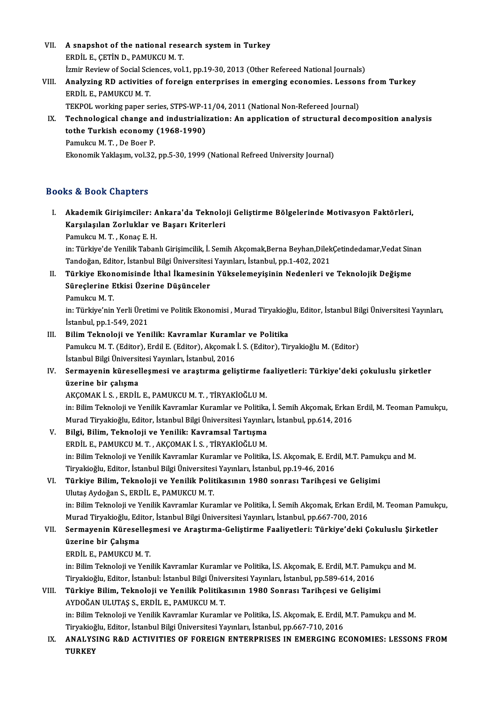VII. A snapshot of the national research system in Turkey **A snapshot of the national rese<br>ERDİL E., ÇETİN D., PAMUKCU M. T.**<br>İsmin Beview of Sosial Ssianses, vol. A snapshot of the national research system in Turkey<br>ERDİL E., ÇETİN D., PAMUKCU M. T.<br>İzmir Review of Social Sciences, vol.1, pp.19-30, 2013 (Other Refereed National Journals)<br>Analyzing PD activities of foneign antennuise ERDİL E., ÇETİN D., PAMUKCU M. T.<br>İzmir Review of Social Sciences, vol.1, pp.19-30, 2013 (Other Refereed National Journals)<br>VIII. Analyzing RD activities of foreign enterprises in emerging economies. Lessons from Turke İzmir Review of Social Sci<br><mark>Analyzing RD activities</mark><br>ERDİL E., PAMUKCU M. T.<br>TEKPOL werking paper s Analyzing RD activities of foreign enterprises in emerging economies. Lesson<br>ERDİL E., PAMUKCU M. T.<br>TEKPOL working paper series, STPS-WP-11/04, 2011 (National Non-Refereed Journal)<br>Technological change and industrializati ERDİL E., PAMUKCU M. T.<br>TEKPOL working paper series, STPS-WP-11/04, 2011 (National Non-Refereed Journal)<br>IX. Technological change and industrialization: An application of structural decomposition analysis<br>tothe Turkish ese TEKPOL working paper series, STPS-WP-1<br>Technological change and industriali:<br>tothe Turkish economy (1968-1990)<br>Pamuksu M.T., De Beer P Technological change al<br>tothe Turkish economy<br>Pamukcu M.T., De Boer P.<br>Ekonomik Vaklasım vol 32 tothe Turkish economy (1968-1990)<br>Pamukcu M. T. , De Boer P.<br>Ekonomik Yaklaşım, vol.32, pp.5-30, 1999 (National Refreed University Journal)

# Books&Book Chapters

ooks & Book Chapters<br>I. Akademik Girişimciler: Ankara'da Teknoloji Geliştirme Bölgelerinde Motivasyon Faktörleri,<br>Karalasılan Zarluklar ve Basarı Kritarlari ka di Book Ghaptoru<br>Akademik Girişimciler: Ankara'da Teknolo<br>Karşılaşılan Zorluklar ve Başarı Kriterleri<br>Pamuksu M.T. Konee E.H Akademik Girişimciler: *A*<br>Karşılaşılan Zorluklar ve<br>Pamukcu M. T. , Konaç E. H.<br>in: Türkiya'de Yorilik Tabor

Karşılaşılan Zorluklar ve Başarı Kriterleri<br>Pamukcu M. T. , Konaç E. H.<br>in: Türkiye'de Yenilik Tabanlı Girişimcilik, İ. Semih Akçomak,Berna Beyhan,DilekÇetindedamar,Vedat Sinan<br>Tandağan Editor İstanbul Bilgi Üniversitesi Y Pamukcu M. T. , Konaç E. H.<br>in: Türkiye'de Yenilik Tabanlı Girişimcilik, İ. Semih Akçomak,Berna Beyhan,Dilek<br>Türkiye Ekonomisinde İthel İkamesinin Vükselemeyisinin Nadenleri ve<br>Türkiye Ekonomisinde İthel İkamesinin Vüksele in: Türkiye'de Yenilik Tabanlı Girişimcilik, İ. Semih Akçomak,Berna Beyhan,DilekÇetindedamar,Vedat Sin<br>Tandoğan, Editor, İstanbul Bilgi Üniversitesi Yayınları, İstanbul, pp.1-402, 2021<br>II. Türkiye Ekonomisinde İthal İk

- Tandoğan, Editor, İstanbul Bilgi Üniversitesi<br>Türkiye Ekonomisinde İthal İkamesiniı<br>Süreçlerine Etkisi Üzerine Düşünceler<br>Pamuksu M.T Türkiye Ekon<br>Süreçlerine E<br>Pamukcu M. T.<br>in:Türkiye'nin
	-

Süreçlerine Etkisi Üzerine Düşünceler<br>Pamukcu M. T.<br>in: Türkiye'nin Yerli Üretimi ve Politik Ekonomisi , Murad Tiryakioğlu, Editor, İstanbul Bilgi Üniversitesi Yayınları, Pamukcu M. T.<br>in: Türkiye'nin Yerli Üreti<br>İstanbul, pp.1-549, 2021<br>Bilim Teknoloji ve Yen Istanbul, pp.1-549, 2021<br>III. Bilim Teknoloji ve Yenilik: Kavramlar Kuramlar ve Politika

- İstanbul, pp.1-549, 2021<br>Bilim Teknoloji ve Yenilik: Kavramlar Kuramlar ve Politika<br>Pamukcu M. T. (Editor), Erdil E. (Editor), Akçomak İ. S. (Editor), Tiryakioğlu M. (Editor)<br>İstanbul Bilgi Üniyarsitesi Yavraları, İstanbul Bilim Teknoloji ve Yenilik: Kavramlar Kuraml<br>Pamukcu M. T. (Editor), Erdil E. (Editor), Akçomak<br>İstanbul Bilgi Üniversitesi Yayınları, İstanbul, 2016<br>Sermayanin küreçellesmesi ve arastırma seli İstanbul Bilgi Üniversitesi Yayınları, İstanbul, 2016
- IV. Sermayenin küreselleşmesi ve araştırma geliştirme faaliyetleri: Türkiye'deki çokuluslu şirketler<br>üzerine bir calısma

AKÇOMAKİ.S. ,ERDİL E.,PAMUKCUM.T. ,TİRYAKİOĞLUM.

üzerine bir çalışma<br>AKÇOMAK İ. S. , ERDİL E., PAMUKCU M. T. , TİRYAKİOĞLU M.<br>İn: Bilim Teknoloji ve Yenilik Kavramlar Kuramlar ve Politika, İ. Semih Akçomak, Erkan Erdil, M. Teoman Pamukçu,<br>Murad Tirvaltioğlu, Editor, İsta AKÇOMAK İ. S. , ERDİL E., PAMUKCU M. T. , TİRYAKİOĞLU M.<br>in: Bilim Teknoloji ve Yenilik Kavramlar Kuramlar ve Politika, İ. Semih Akçomak, Erkan<br>Murad Tiryakioğlu, Editor, İstanbul Bilgi Üniversitesi Yayınları, İstanbul, pp Murad Tiryakioğlu, Editor, İstanbul Bilgi Üniversitesi Yayınları, İstanbul, pp.614, 2016

V. Bilgi, Bilim, Teknoloji ve Yenilik: Kavramsal Tartışma in: Bilim Teknoloji ve Yenilik Kavramlar Kuramlar ve Politika, İ.S. Akçomak, E. Erdil, M.T. Pamukçu and M. ERDİL E., PAMUKCU M. T. , AKÇOMAK İ. S. , TİRYAKİOĞLU M.<br>in: Bilim Teknoloji ve Yenilik Kavramlar Kuramlar ve Politika, İ.S. Akçomak, E. Erd<br>Türkiye Bilim, Teknoloji ve Yenilik Bolitikasının 1980 sonrası Tarihsesi<br>Türkiye

# VI. Türkiye Bilim, Teknoloji ve Yenilik Politikasının 1980 sonrası Tarihçesi ve Gelişimi Tiryakioğlu, Editor, İstanbul Bilgi Üniversites<br>Türkiye Bilim, Teknoloji ve Yenilik Polit<br>Ulutaş Aydoğan S., ERDİL E., PAMUKCU M. T.<br>in: Bilim Teknoloji ve Yenilik Kayramlar Kurs Türkiye Bilim, Teknoloji ve Yenilik Politikasının 1980 sonrası Tarihçesi ve Gelişimi<br>Ulutaş Aydoğan S., ERDİL E., PAMUKCU M. T.<br>in: Bilim Teknoloji ve Yenilik Kavramlar Kuramlar ve Politika, İ. Semih Akçomak, Erkan Erdil, Ulutaş Aydoğan S., ERDİL E., PAMUKCU M. T.<br>in: Bilim Teknoloji ve Yenilik Kavramlar Kuramlar ve Politika, İ. Semih Akçomak, Erkan Erdi<br>Murad Tiryakioğlu, Editor, İstanbul Bilgi Üniversitesi Yayınları, İstanbul, pp.667-700,

# in: Bilim Teknoloji ve Yenilik Kavramlar Kuramlar ve Politika, İ. Semih Akçomak, Erkan Erdil, M. Teoman Pamukç<br>Murad Tiryakioğlu, Editor, İstanbul Bilgi Üniversitesi Yayınları, İstanbul, pp.667-700, 2016<br>VII. Sermayenin Kü Murad Tiryakioğlu, Editor, İstanbul Bilgi Üniversitesi Yayınları, İstanbul, pp.667-700, 2016<br>Sermayenin Küreselleşmesi ve Araştırma-Geliştirme Faaliyetleri: Türkiye'deki Ç<br>üzerine bir Çalışma<br>ERDİL E. PAMUKCU M. T. VII. Sermayenin Küreselleşmesi ve Araştırma-Geliştirme Faaliyetleri: Türkiye'deki Çokuluslu Şirketler

in: Bilim Teknoloji ve Yenilik Kavramlar Kuramlar ve Politika, İ.S. Akçomak, E. Erdil, M.T. Pamukçu and M. ERDİL E., PAMUKCU M. T.<br>in: Bilim Teknoloji ve Yenilik Kavramlar Kuramlar ve Politika, İ.S. Akçomak, E. Erdil, M.T. Pamı<br>Tiryakioğlu, Editor, İstanbul: İstanbul Bilgi Üniversitesi Yayınları, İstanbul, pp.589-614, 2016<br>Türk in: Bilim Teknoloji ve Yenilik Kavramlar Kuramlar ve Politika, İ.S. Akçomak, E. Erdil, M.T. Pamuk<br>Tiryakioğlu, Editor, İstanbul: İstanbul Bilgi Üniversitesi Yayınları, İstanbul, pp.589-614, 2016<br>VIII. Türkiye Bilim, Teknol

# Tiryakioğlu, Editor, İstanbul: İstanbul Bilgi Ünive<br>Türkiye Bilim, Teknoloji ve Yenilik Politika<br>AYDOĞAN ULUTAŞ S., ERDİL E., PAMUKCU M. T.<br>in: Bilim Telmoloji ve Yenilik Kayramlar Kuramlı Türkiye Bilim, Teknoloji ve Yenilik Politikasının 1980 Sonrası Tarihçesi ve Gelişimi<br>AYDOĞAN ULUTAŞ S., ERDİL E., PAMUKCU M. T.<br>in: Bilim Teknoloji ve Yenilik Kavramlar Kuramlar ve Politika, İ.S. Akçomak, E. Erdil, M.T. Pa

AYDOĞAN ULUTAŞ S., ERDİL E., PAMUKCU M. T.<br>in: Bilim Teknoloji ve Yenilik Kavramlar Kuramlar ve Politika, İ.S. Akçomak, E. Erdil, .<br>Tiryakioğlu, Editor, İstanbul Bilgi Üniversitesi Yayınları, İstanbul, pp.667-710, 2016<br>ANA in: Bilim Teknoloji ve Yenilik Kavramlar Kuramlar ve Politika, İ.S. Akçomak, E. Erdil, M.T. Pamukçu and M.<br>Tiryakioğlu, Editor, İstanbul Bilgi Üniversitesi Yayınları, İstanbul, pp.667-710, 2016<br>IX. ANALYSING R&D ACTIVI

Tiryakioğlu, Editor, İstanbul Bilgi Üniversitesi Yayınları, İstanbul, pp.667-710, 2016<br>IX. ANALYSING R&D ACTIVITIES OF FOREIGN ENTERPRISES IN EMERGING ECONOMIES: LESSONS FROM<br>TURKEY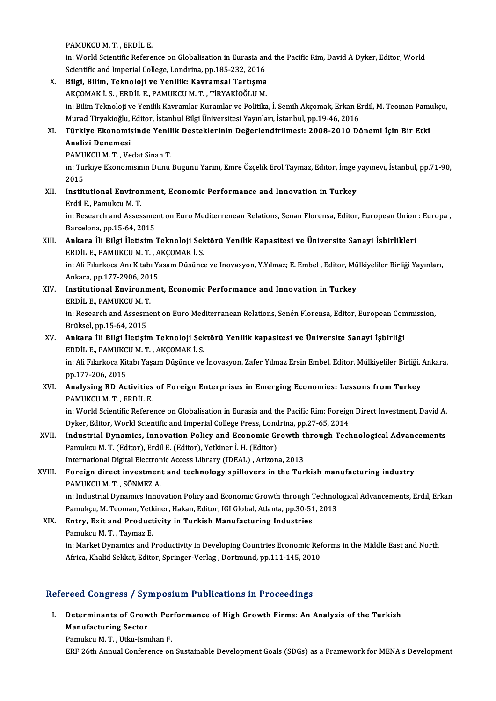PAMUKCUM.T. ,ERDİL E.

in: World Scientific Reference on Globalisation in Eurasia and the Pacific Rim, David A Dyker, Editor, World Scientific and Imperial College, Londrina, pp.185-232, 2016

in: World Scientific Reference on Globalisation in Eurasia and<br>Scientific and Imperial College, Londrina, pp.185-232, 2016<br>X. Bilgi, Bilim, Teknoloji ve Yenilik: Kavramsal Tartışma<br>AVCOMAV İ.S. EPDİLE RAMIVCUM T. TİRVAVİQÖ Scientific and Imperial College, Londrina, pp.185-232, 2016<br>Bilgi, Bilim, Teknoloji ve Yenilik: Kavramsal Tartışma<br>AKÇOMAK İ. S. , ERDİL E., PAMUKCU M. T. , TİRYAKİOĞLU M.<br>in: Bilim Teknoloji ve Yenilik Kavramlar Kuramlar Bilgi, Bilim, Teknoloji ve Yenilik: Kavramsal Tartışma<br>AKÇOMAK İ. S. , ERDİL E., PAMUKCU M. T. , TİRYAKİOĞLU M.<br>in: Bilim Teknoloji ve Yenilik Kavramlar Kuramlar ve Politika, İ. Semih Akçomak, Erkan Erdil, M. Teoman Pamukç AKÇOMAK İ. S. , ERDİL E., PAMUKCU M. T. , TİRYAKİOĞLU M.<br>in: Bilim Teknoloji ve Yenilik Kavramlar Kuramlar ve Politika, İ. Semih Akçomak, Erkan E<br>Murad Tiryakioğlu, Editor, İstanbul Bilgi Üniversitesi Yayınları, İstanbul, in: Bilim Teknoloji ve Yenilik Kavramlar Kuramlar ve Politika, İ. Semih Akçomak, Erkan Erdil, M. Teoman Pamı<br>Murad Tiryakioğlu, Editor, İstanbul Bilgi Üniversitesi Yayınları, İstanbul, pp.19-46, 2016<br>XI. Türkiye Ekonomisin Murad Tiryakioğlu, Editor, İstanbul Bilgi Üniversitesi Yayınları, İstanbul, pp.19-46, 2016<br>Türkiye Ekonomisinde Yenilik Desteklerinin Değerlendirilmesi: 2008-2010 De<br>Analizi Denemesi<br>PAMUKCU M. T. . Vedat Sinan T. Türkiye Ekonomisinde Yenil<br>Analizi Denemesi<br>PAMUKCU M.T., Vedat Sinan T.<br>in: Türkiye Ekonomisinin Dünü Analizi Denemesi<br>PAMUKCU M. T. , Vedat Sinan T.<br>in: Türkiye Ekonomisinin Dünü Bugünü Yarını, Emre Özçelik Erol Taymaz, Editor, İmge yayınevi, İstanbul, pp.71-90, PAMU<br>in: Tüi<br>2015<br>Instit in: Türkiye Ekonomisinin Dünü Bugünü Yarını, Emre Özçelik Erol Taymaz, Editor, İmge<br>2015<br>XII. Institutional Environment, Economic Performance and Innovation in Turkey<br>Frdil E. Pamulcu M. T 2015<br>I<mark>nstitutional Enviror</mark><br>Erdil E., Pamukcu M. T.<br>in: Pessarsh and Asses Institutional Environment, Economic Performance and Innovation in Turkey<br>Erdil E., Pamukcu M. T.<br>in: Research and Assessment on Euro Mediterrenean Relations, Senan Florensa, Editor, European Union : Europa ,<br>Perselana nn 1 Erdil E., Pamukcu M. T.<br>in: Research and Assessme:<br>Barcelona, pp.15-64, 2015<br>Ankara, Ili, Bilgi, Ilatisim in: Research and Assessment on Euro Mediterrenean Relations, Senan Florensa, Editor, European Union<br>Barcelona, pp.15-64, 2015<br>XIII. Ankara İli Bilgi İletisim Teknoloji Sektörü Yenilik Kapasitesi ve Üniversite Sanayi İs Barcelona, pp.15-64, 2015<br><mark>Ankara İli Bilgi İletisim Teknoloji Sek</mark><br>ERDİL E., PAMUKCU M. T. , AKÇOMAK İ. S.<br>in: Ali Erlurkege Anı Kitebı Yaşam Düşünge Ankara İli Bilgi İletisim Teknoloji Sektörü Yenilik Kapasitesi ve Üniversite Sanayi İsbirlikleri<br>ERDİL E., PAMUKCU M. T. , AKÇOMAK İ. S.<br>in: Ali Fıkırkoca Anı Kitabı Yasam Düsünce ve Inovasyon, Y.Yılmaz; E. Embel , Editor, ERDİL E., PAMUKCU M. T. , A<br>in: Ali Fıkırkoca Anı Kitabı Ya<br>Ankara, pp.177-2906, 2015<br>Institutional Enviranman in: Ali Fıkırkoca Anı Kitabı Yasam Düsünce ve Inovasyon, Y.Yılmaz; E. Embel , Editor, Mü<br>Ankara, pp.177-2906, 2015<br>XIV. Institutional Environment, Economic Performance and Innovation in Turkey Ankara, pp.177-2906, 2015<br>XIV. Institutional Environment, Economic Performance and Innovation in Turkey<br>ERDİL E., PAMUKCU M. T. Institutional Environment, Economic Performance and Innovation in Turkey<br>ERDİL E., PAMUKCU M. T.<br>in: Research and Assesment on Euro Mediterranean Relations, Senén Florensa, Editor, European Commission,<br>Prüksel pp.15,64,201 ERDİL E., PAMUKCU M. T<br>in: Research and Assesm<br>Brüksel, pp.15-64, 2015<br>Ankara İli Bilgi İletisi in: Research and Assesment on Euro Mediterranean Relations, Senén Florensa, Editor, European Con<br>Brüksel, pp.15-64, 2015<br>XV. Ankara İli Bilgi İletişim Teknoloji Sektörü Yenilik kapasitesi ve Üniversite Sanayi İşbirliği Brüksel, pp.15-64, 2015<br><mark>Ankara İli Bilgi İletişim Teknoloji Sek</mark><br>ERDİL E., PAMUKCU M. T. , AKÇOMAK İ. S.<br>in: Ali Erlarkoce Kitebı Yesam Düşünce ve XV. Ankara İli Bilgi İletişim Teknoloji Sektörü Yenilik kapasitesi ve Üniversite Sanayi İşbirliği<br>ERDİL E., PAMUKCU M. T. , AKÇOMAK İ. S.<br>in: Ali Fıkırkoca Kitabı Yaşam Düşünce ve İnovasyon, Zafer Yılmaz Ersin Embel, Edito ERDİL E., PAMUKC<br>in: Ali Fıkırkoca Kit<br>pp.177-206, 2015<br>Analysing PD As in: Ali Fıkırkoca Kitabı Yaşam Düşünce ve İnovasyon, Zafer Yılmaz Ersin Embel, Editor, Mülkiyeliler Birliği, .<br>pp.177-206, 2015<br>XVI. Analysing RD Activities of Foreign Enterprises in Emerging Economies: Lessons from Tu pp.177-206, 2015<br>Analysing RD Activities<br>PAMUKCU M. T. , ERDİL E.<br>in: World Scientifie Befere Analysing RD Activities of Foreign Enterprises in Emerging Economies: Lessons from Turkey<br>PAMUKCU M. T. , ERDİL E.<br>in: World Scientific Reference on Globalisation in Eurasia and the Pacific Rim: Foreign Direct Investment, PAMUKCU M. T. , ERDİL E.<br>in: World Scientific Reference on Globalisation in Eurasia and the Pacific Rim: Foreign<br>Dyker, Editor, World Scientific and Imperial College Press, Londrina, pp.27-65, 2014<br>Industrial Dunamiss, Inn in: World Scientific Reference on Globalisation in Eurasia and the Pacific Rim: Foreign Direct Investment, David A.<br>Dyker, Editor, World Scientific and Imperial College Press, Londrina, pp.27-65, 2014<br>XVII. Industrial Dyna Dyker, Editor, World Scientific and Imperial College Press, Lond<br>Industrial Dynamics, Innovation Policy and Economic G1<br>Pamukcu M. T. (Editor), Erdil E. (Editor), Yetkiner İ. H. (Editor)<br>International Disitel Electronic As Industrial Dynamics, Innovation Policy and Economic Growth the<br>Pamukcu M. T. (Editor), Erdil E. (Editor), Yetkiner İ. H. (Editor)<br>International Digital Electronic Access Library (IDEAL) , Arizona, 2013<br>Fonsian dinest inves Pamukcu M. T. (Editor), Erdil E. (Editor), Yetkiner İ. H. (Editor)<br>International Digital Electronic Access Library (IDEAL) , Arizona, 2013<br>XVIII. Foreign direct investment and technology spillovers in the Turkish manufactu International Digital Electronic Access Library (IDEAL), Arizona, 2013 Foreign direct investment and technology spillovers in the Turkish manufacturing industry<br>PAMUKCU M. T. , SÖNMEZ A.<br>in: Industrial Dynamics Innovation Policy and Economic Growth through Technological Advancements, Erdil, E PAMUKCU M. T. , SÖNMEZ A.<br>in: Industrial Dynamics Innovation Policy and Economic Growth through Technolo<br>Pamukçu, M. Teoman, Yetkiner, Hakan, Editor, IGI Global, Atlanta, pp.30-51, 2013<br>Entry, Evit and Brodustivity in Turk XIX. Entry, Exit and Productivity in Turkish Manufacturing Industries Pamukçu, M. Teoman, Yetkiner, Hakan, Editor, IGI Global, Atlanta, pp.30-51, 2013 Entry, Exit and Productivity in Turkish Manufacturing Industries<br>Pamukcu M. T. , Taymaz E.<br>in: Market Dynamics and Productivity in Developing Countries Economic Reforms in the Middle East and North<br>Africa Khalid Sakkat Edi Pamukcu M. T. , Taymaz E.<br>in: Market Dynamics and Productivity in Developing Countries Economic Ref<br>Africa, Khalid Sekkat, Editor, Springer-Verlag , Dortmund, pp.111-145, 2010

# Africa, Khalid Sekkat, Editor, Springer-Verlag , Dortmund, pp.111-145, 2010<br>Refereed Congress / Symposium Publications in Proceedings

efereed Congress / Symposium Publications in Proceedings<br>I. Determinants of Growth Performance of High Growth Firms: An Analysis of the Turkish<br>Manufasturing Sester nceardongress<sub>/sy</sub><br>Determinants of Grow<br>Manufacturing Sector<br>Bamukay M. T. Http: Jam Determinants of Growth Per<br>Manufacturing Sector<br>Pamukcu M.T., Utku-Ismihan F.<br>EPE 26th Annual Conference on

Manufacturing Sector<br>Pamukcu M. T. , Utku-Ismihan F.<br>ERF 26th Annual Conference on Sustainable Development Goals (SDGs) as a Framework for MENA's Development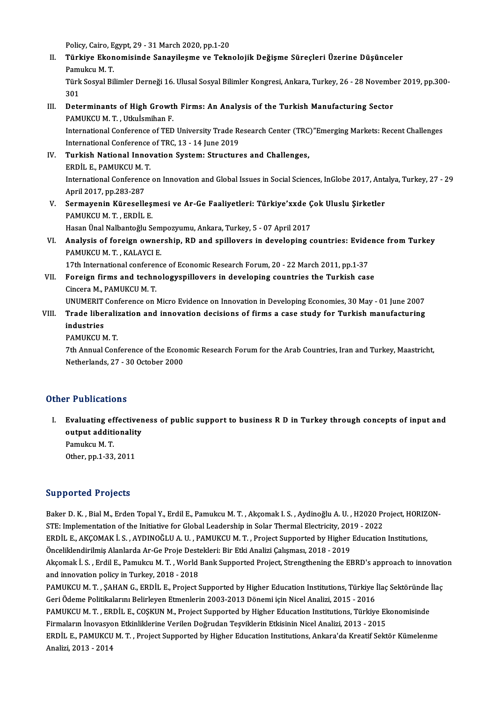Policy, Cairo, Egypt, 29 - 31 March 2020, pp.1-20

Policy, Cairo, Egypt, 29 - 31 March 2020, pp.1-20<br>II. Türkiye Ekonomisinde Sanayileşme ve Teknolojik Değişme Süreçleri Üzerine Düşünceler<br>Ramulcu M. T Policy, Cairo, E<br>**Türkiye Ekon**<br>Pamukcu M. T.<br>Türk Sosvel Bil Türkiye Ekonomisinde Sanayileşme ve Teknolojik Değişme Süreçleri Üzerine Düşünceler<br>Pamukcu M. T.<br>Türk Sosyal Bilimler Derneği 16. Ulusal Sosyal Bilimler Kongresi, Ankara, Turkey, 26 - 28 November 2019, pp.300-<br>201 Pami<br>Türk<br>Dete

- Türk Sosyal Bilimler Derneği 16. Ulusal Sosyal Bilimler Kongresi, Ankara, Turkey, 26 28 November 101<br>301<br>III. Determinants of High Growth Firms: An Analysis of the Turkish Manufacturing Sector<br>BAMIKCUM T. Utkulemiban E 301<br>Determinants of High Growtl<br>PAMUKCUM.T., Utkuİsmihan F.<br>International Conference of TED Determinants of High Growth Firms: An Analysis of the Turkish Manufacturing Sector<br>PAMUKCU M. T. , Utkuİsmihan F.<br>International Conference of TBC 12 - 14 June 2019 PAMUKCU M. T. , Utkuİsmihan F.<br>International Conference of TED University Trade Research Center (TRC)"Emerging Markets: Recent Challenges<br>International Conference of TRC, 13 - 14 June 2019 International Conference of TED University Trade Research Center (TRC<br>International Conference of TRC, 13 - 14 June 2019<br>IV. Turkish National Innovation System: Structures and Challenges,<br>FRDNI E. RAMIVCUM T
- International Conference<br>Turkish National Innov<br>ERDİL E., PAMUKCU M. T.<br>International Conference ERDİL E., PAMUKCU M. T.<br>International Conference on Innovation and Global Issues in Social Sciences, InGlobe 2017, Antalya, Turkey, 27 - 29 April2017,pp.283-287 International Conference on Innovation and Global Issues in Social Sciences, InGlobe 2017, Anta<br>April 2017, pp.283-287<br>V. Sermayenin Küreselleşmesi ve Ar-Ge Faaliyetleri: Türkiye'xxde Çok Uluslu Şirketler<br>RAMUKCU M.T. EPDL
- April 2017, pp.283-287<br><mark>Sermayenin Küreselleş</mark>:<br>PAMUKCU M. T. , ERDİL E.<br>Hesen Ünal Nalbanteğlu S. Sermayenin Küreselleşmesi ve Ar-Ge Faaliyetleri: Türkiye'xxde Ç<br>PAMUKCU M. T. , ERDİL E.<br>Hasan Ünal Nalbantoğlu Sempozyumu, Ankara, Turkey, 5 - 07 April 2017<br>Analysis of fansisn oyunanshin, PD and anilloyens in develening

PAMUKCU M. T. , ERDİL E.<br>Hasan Ünal Nalbantoğlu Sempozyumu, Ankara, Turkey, 5 - 07 April 2017<br>VI. Analysis of foreign ownership, RD and spillovers in developing countries: Evidence from Turkey<br>RAMIVCU M. T. KALAYCUE Hasan Ünal Nalbantoğlu Sem<br><mark>Analysis of foreign owne</mark><br>PAMUKCU M. T. , KALAYCI E.<br>17th International conferenc Analysis of foreign ownership, RD and spillovers in developing countries: Evide<br>PAMUKCU M. T., KALAYCI E.<br>17th International conference of Economic Research Forum, 20 - 22 March 2011, pp.1-37<br>Foreign firms and technologyan

PAMUKCU M. T. , KALAYCI E.<br>17th International conference of Economic Research Forum, 20 - 22 March 2011, pp.1-37<br>VII. Foreign firms and technologyspillovers in developing countries the Turkish case<br>Cincera M., PAMUKCU M. T 17th International conferer<br>Foreign firms and techn<br>Cincera M., PAMUKCU M. T.<br>UNUMERUT Conference on

UNUMERITConference onMicro Evidence onInnovationinDevelopingEconomies,30May -01 June 2007

# Cincera M., PAMUKCU M. T.<br>UNUMERIT Conference on Micro Evidence on Innovation in Developing Economies, 30 May - 01 June 2007<br>VIII. Trade liberalization and innovation decisions of firms a case study for Turkish manufac UNUMERIT<br>Trade liber<br>industries<br>PAMUKCUA Trade liberali:<br>industries<br>PAMUKCU M. T.<br>7th Annual Coni

industries<br>PAMUKCU M. T.<br>7th Annual Conference of the Economic Research Forum for the Arab Countries, Iran and Turkey, Maastricht,<br>Netherlands 27, ...20 Osteber 2000 PAMUKCU M. T.<br>7th Annual Conference of the Econo<br>Netherlands, 27 - 30 October 2000 Netherlands, 27 - 30 October 2000<br>Other Publications

I. Evaluating effectiveness of public support to business R D in Turkey through concepts of input and output additions<br>Evaluating effectiver<br>output additionality<br>Pemukau M T output additionality<br>Pamukcu M.T. Other, pp.1-33, 2011

Supported Projects

Supported Projects<br>Baker D. K. , Bial M., Erden Topal Y., Erdil E., Pamukcu M. T. , Akçomak I. S. , Aydinoğlu A. U. , H2020 Project, HORIZON-<br>STE: Implementation of the Initiative for Global Leadership in Selar Thermal Ele Supporteur Frojects<br>Baker D. K. , Bial M., Erden Topal Y., Erdil E., Pamukcu M. T. , Akçomak I. S. , Aydinoğlu A. U. , H2020 Pr<br>STE: Implementation of the Initiative for Global Leadership in Solar Thermal Electricity, 2019 Baker D. K. , Bial M., Erden Topal Y., Erdil E., Pamukcu M. T. , Akçomak I. S. , Aydinoğlu A. U. , H2020 Project, HORIZ<br>STE: Implementation of the Initiative for Global Leadership in Solar Thermal Electricity, 2019 - 2022<br> STE: Implementation of the Initiative for Global Leadership in Solar Thermal Electricity, 201<br>ERDİL E., AKÇOMAK İ. S. , AYDINOĞLU A. U. , PAMUKCU M. T. , Project Supported by Higher<br>Önceliklendirilmiş Alanlarda Ar-Ge Proje ERDİL E., AKÇOMAK İ. S. , AYDINOĞLU A. U. , PAMUKCU M. T. , Project Supported by Higher Education Institutions,<br>Önceliklendirilmiş Alanlarda Ar-Ge Proje Destekleri: Bir Etki Analizi Çalışması, 2018 - 2019<br>Akçomak İ. S. , E Önceliklendirilmiş Alanlarda Ar-Ge Proje Destekleri: Bir Etki Analizi Çalışması, 2018 - 2019<br>Akçomak İ. S. , Erdil E., Pamukcu M. T. , World Bank Supported Project, Strengthening the EBRD's approach to innovation<br>and innov Akçomak İ. S. , Erdil E., Pamukcu M. T. , World Bank Supported Project, Strengthening the EBRD's approach to innovatio<br>and innovation policy in Turkey, 2018 - 2018<br>PAMUKCU M. T. , ȘAHAN G., ERDİL E., Project Supported by H and innovation policy in Turkey, 2018 - 2018<br>PAMUKCU M. T. , ŞAHAN G., ERDİL E., Project Supported by Higher Education Institutions, Türkiye İ<br>Geri Ödeme Politikalarını Belirleyen Etmenlerin 2003-2013 Dönemi için Nicel Ana PAMUKCU M. T. , ŞAHAN G., ERDİL E., Project Supported by Higher Education Institutions, Türkiye İlaç Sektöründe<br>Geri Ödeme Politikalarını Belirleyen Etmenlerin 2003-2013 Dönemi için Nicel Analizi, 2015 - 2016<br>PAMUKCU M. T. Geri Ödeme Politikalarını Belirleyen Etmenlerin 2003-2013 Dönemi için Nicel Analizi, 2015 - 2016<br>PAMUKCU M. T. , ERDİL E., COŞKUN M., Project Supported by Higher Education Institutions, Türkiye Ekonomisinde ERDİL E., PAMUKCU M. T. , Project Supported by Higher Education Institutions, Ankara'da Kreatif Sektör Kümelenme<br>Analizi, 2013 - 2014 Firmaların İnovasyon Etkinliklerine Verilen Doğrudan Teşviklerin Etkisinin Nicel Analizi, 2013 - 2015